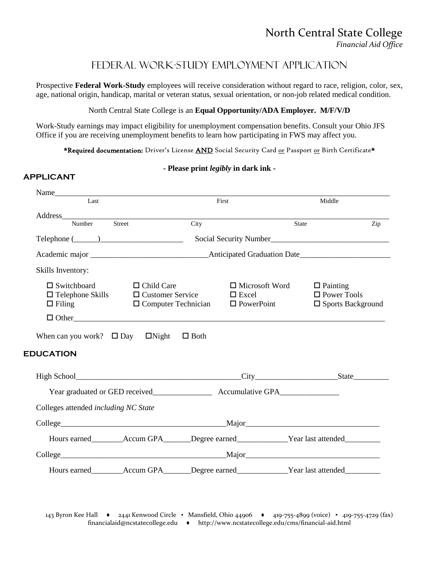# Federal Work-Study Employment Application

Prospective **Federal Work-Study** employees will receive consideration without regard to race, religion, color, sex, age, national origin, handicap, marital or veteran status, sexual orientation, or non-job related medical condition.

### North Central State College is an **Equal Opportunity/ADA Employer. M/F/V/D**

Work-Study earnings may impact eligibility for unemployment compensation benefits. Consult your Ohio JFS Office if you are receiving unemployment benefits to learn how participating in FWS may affect you.

**APPLICANT**

\*Required documentation: Driver's License AND Social Security Card or Passport or Birth Certificate\*

## **- Please print** *legibly* **in dark ink -**

| Last                                                                                                                                                        |                                                                                                      | First                                                      | Middle                                                               |
|-------------------------------------------------------------------------------------------------------------------------------------------------------------|------------------------------------------------------------------------------------------------------|------------------------------------------------------------|----------------------------------------------------------------------|
|                                                                                                                                                             | City                                                                                                 | State                                                      |                                                                      |
|                                                                                                                                                             |                                                                                                      |                                                            | Zip                                                                  |
| $\begin{tabular}{c} Telephone & \textbf{\textcolor{blue}{\textbf{ \textcolor{blue}{\textbf{}}}}\textcolor{blue}{\textcolor{blue}{\textbf{}}}}\end{tabular}$ |                                                                                                      | Social Security Number                                     |                                                                      |
|                                                                                                                                                             |                                                                                                      |                                                            |                                                                      |
| Skills Inventory:                                                                                                                                           |                                                                                                      |                                                            |                                                                      |
| $\square$ Switchboard<br>$\Box$ Telephone Skills<br>$\Box$ Filing                                                                                           | $\Box$ Child Care<br>$\Box$ Customer Service<br>$\Box$ Computer Technician<br>$\Box$ Other           | $\Box$ Microsoft Word<br>$\Box$ Excel<br>$\Box$ PowerPoint | $\Box$ Painting<br>$\Box$ Power Tools<br>$\square$ Sports Background |
| When can you work? $\Box$ Day $\Box$ Night                                                                                                                  | $\Box$ Both                                                                                          |                                                            |                                                                      |
| <b>EDUCATION</b>                                                                                                                                            |                                                                                                      |                                                            |                                                                      |
|                                                                                                                                                             |                                                                                                      |                                                            |                                                                      |
|                                                                                                                                                             |                                                                                                      |                                                            |                                                                      |
| Colleges attended including NC State                                                                                                                        |                                                                                                      |                                                            |                                                                      |
|                                                                                                                                                             |                                                                                                      |                                                            |                                                                      |
|                                                                                                                                                             |                                                                                                      |                                                            |                                                                      |
|                                                                                                                                                             | Hours earned_________Accum GPA_______Degree earned_____________Year last attended__________          |                                                            |                                                                      |
|                                                                                                                                                             |                                                                                                      |                                                            |                                                                      |
|                                                                                                                                                             | Hours earned_________Accum GPA_______Degree earned_____________Year last attended___________________ |                                                            |                                                                      |
|                                                                                                                                                             |                                                                                                      |                                                            |                                                                      |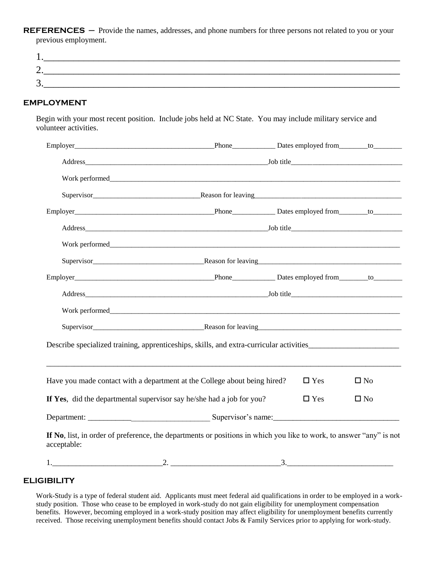REFERENCES - Provide the names, addresses, and phone numbers for three persons not related to you or your previous employment.

| ັ |  |  |
|---|--|--|

## **EMPLOYMENT**

Begin with your most recent position. Include jobs held at NC State. You may include military service and volunteer activities.

| Describe specialized training, apprenticeships, skills, and extra-curricular activities_______________________                     |  |            |              |
|------------------------------------------------------------------------------------------------------------------------------------|--|------------|--------------|
|                                                                                                                                    |  |            |              |
| Have you made contact with a department at the College about being hired?                                                          |  | $\Box$ Yes | $\square$ No |
| If Yes, did the departmental supervisor say he/she had a job for you?                                                              |  | $\Box$ Yes | $\square$ No |
|                                                                                                                                    |  |            |              |
| If No, list, in order of preference, the departments or positions in which you like to work, to answer "any" is not<br>acceptable: |  |            |              |
| $1.$ $2.$ $2.$ $3.$                                                                                                                |  |            |              |

#### **ELIGIBILITY**

Work-Study is a type of federal student aid. Applicants must meet federal aid qualifications in order to be employed in a workstudy position. Those who cease to be employed in work-study do not gain eligibility for unemployment compensation benefits. However, becoming employed in a work-study position may affect eligibility for unemployment benefits currently received. Those receiving unemployment benefits should contact Jobs & Family Services prior to applying for work-study.